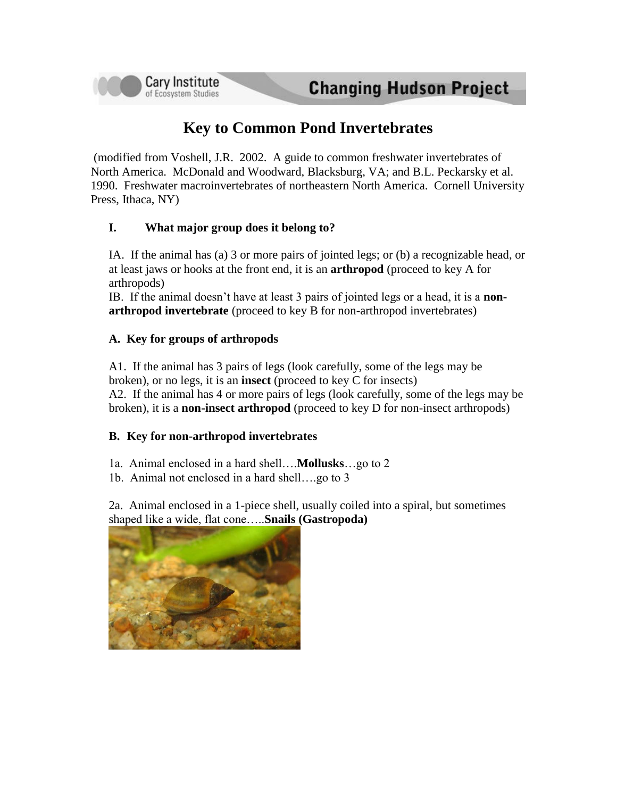# **Key to Common Pond Invertebrates**

(modified from Voshell, J.R. 2002. A guide to common freshwater invertebrates of North America. McDonald and Woodward, Blacksburg, VA; and B.L. Peckarsky et al. 1990. Freshwater macroinvertebrates of northeastern North America. Cornell University Press, Ithaca, NY)

## **I. What major group does it belong to?**

IA. If the animal has (a) 3 or more pairs of jointed legs; or (b) a recognizable head, or at least jaws or hooks at the front end, it is an **arthropod** (proceed to key A for arthropods)

IB. If the animal doesn't have at least 3 pairs of jointed legs or a head, it is a **nonarthropod invertebrate** (proceed to key B for non-arthropod invertebrates)

#### **A. Key for groups of arthropods**

**Cary Institute** 

of Ecosystem Studies

A1. If the animal has 3 pairs of legs (look carefully, some of the legs may be broken), or no legs, it is an **insect** (proceed to key C for insects) A2. If the animal has 4 or more pairs of legs (look carefully, some of the legs may be broken), it is a **non-insect arthropod** (proceed to key D for non-insect arthropods)

#### **B. Key for non-arthropod invertebrates**

1a. Animal enclosed in a hard shell….**Mollusks**…go to 2

1b. Animal not enclosed in a hard shell….go to 3

2a. Animal enclosed in a 1-piece shell, usually coiled into a spiral, but sometimes shaped like a wide, flat cone…..**Snails (Gastropoda)**

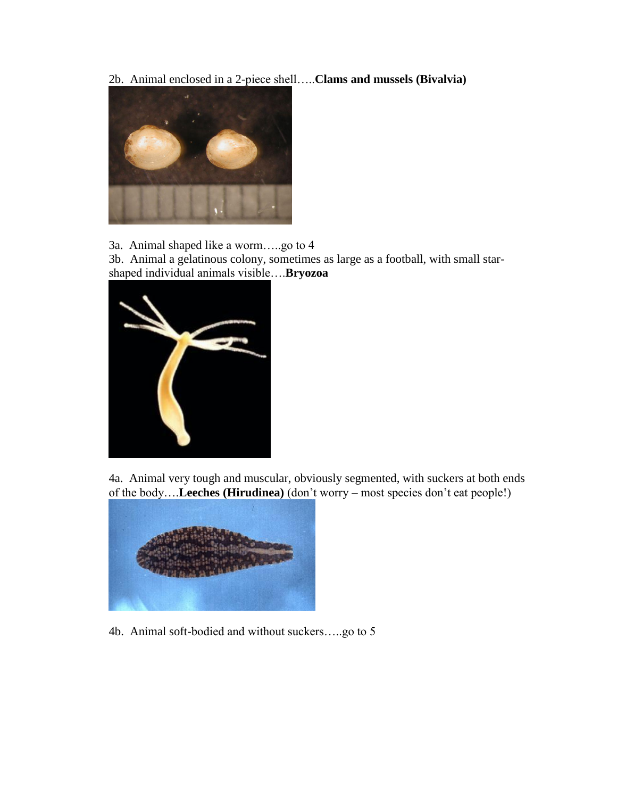2b. Animal enclosed in a 2-piece shell…..**Clams and mussels (Bivalvia)**



3a. Animal shaped like a worm…..go to 4

3b. Animal a gelatinous colony, sometimes as large as a football, with small starshaped individual animals visible….**Bryozoa**



4a. Animal very tough and muscular, obviously segmented, with suckers at both ends of the body….**Leeches (Hirudinea)** (don't worry – most species don't eat people!)



4b. Animal soft-bodied and without suckers…..go to 5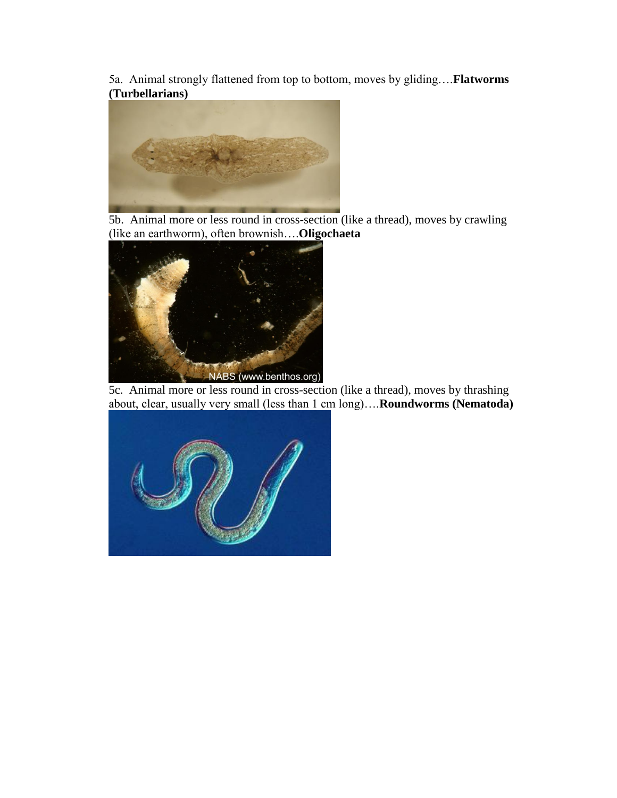5a. Animal strongly flattened from top to bottom, moves by gliding….**Flatworms (Turbellarians)**



5b. Animal more or less round in cross-section (like a thread), moves by crawling (like an earthworm), often brownish….**Oligochaeta**



5c. Animal more or less round in cross-section (like a thread), moves by thrashing about, clear, usually very small (less than 1 cm long)….**Roundworms (Nematoda)**

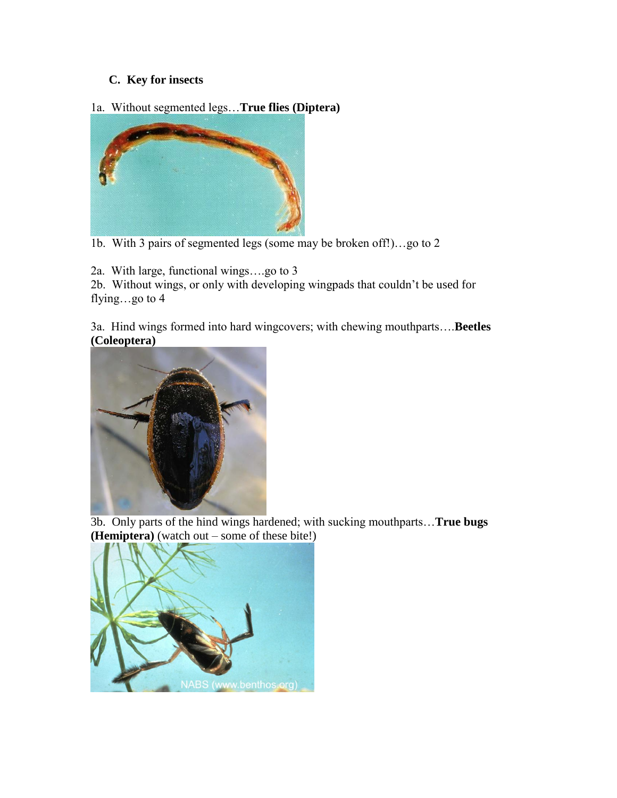# **C. Key for insects**

## 1a. Without segmented legs…**True flies (Diptera)**



1b. With 3 pairs of segmented legs (some may be broken off!)…go to 2

2a. With large, functional wings….go to 3

2b. Without wings, or only with developing wingpads that couldn't be used for flying…go to 4

3a. Hind wings formed into hard wingcovers; with chewing mouthparts….**Beetles (Coleoptera)**



3b. Only parts of the hind wings hardened; with sucking mouthparts…**True bugs (Hemiptera)** (watch out – some of these bite!)

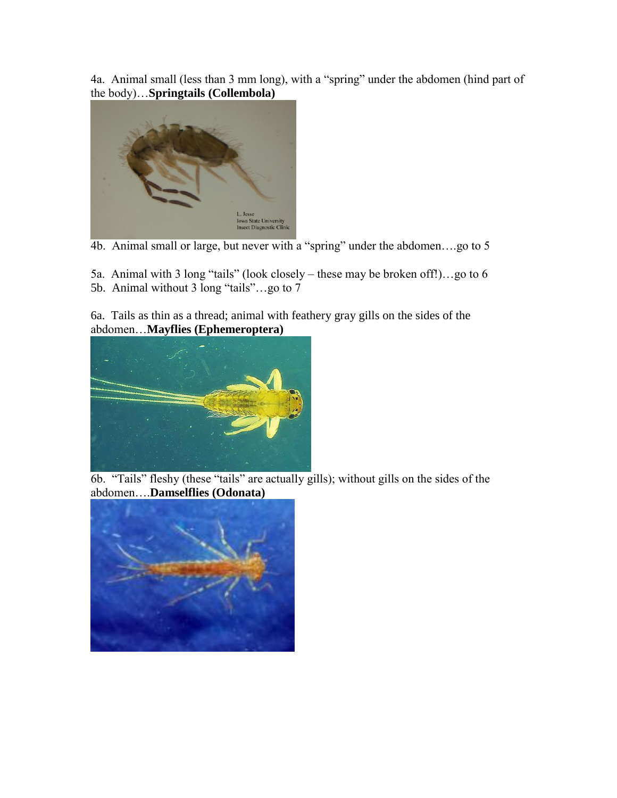4a. Animal small (less than 3 mm long), with a "spring" under the abdomen (hind part of the body)…**Springtails (Collembola)**



4b. Animal small or large, but never with a "spring" under the abdomen….go to 5

5a. Animal with 3 long "tails" (look closely – these may be broken off!)…go to 6 5b. Animal without 3 long "tails"…go to 7

6a. Tails as thin as a thread; animal with feathery gray gills on the sides of the abdomen…**Mayflies (Ephemeroptera)**



6b. "Tails" fleshy (these "tails" are actually gills); without gills on the sides of the abdomen….**Damselflies (Odonata)**

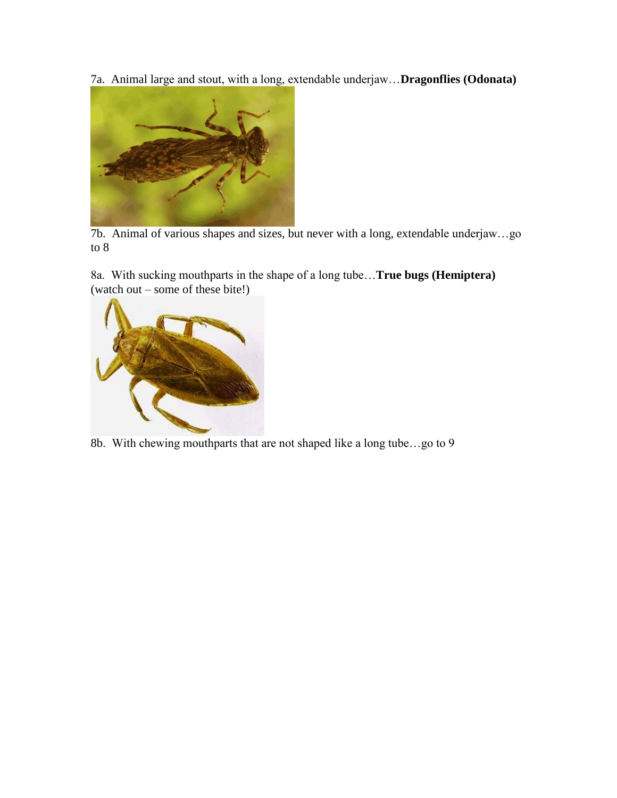7a. Animal large and stout, with a long, extendable underjaw…**Dragonflies (Odonata)**



7b. Animal of various shapes and sizes, but never with a long, extendable underjaw…go to 8

8a. With sucking mouthparts in the shape of a long tube…**True bugs (Hemiptera)** (watch out – some of these bite!)



8b. With chewing mouthparts that are not shaped like a long tube…go to 9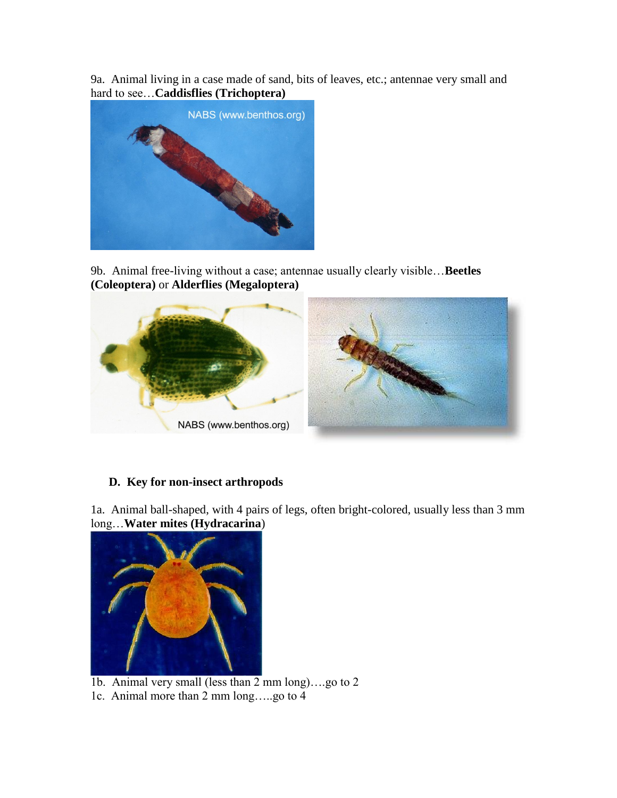9a. Animal living in a case made of sand, bits of leaves, etc.; antennae very small and hard to see…**Caddisflies (Trichoptera)**



9b. Animal free-living without a case; antennae usually clearly visible…**Beetles (Coleoptera)** or **Alderflies (Megaloptera)**



## **D. Key for non-insect arthropods**

1a. Animal ball-shaped, with 4 pairs of legs, often bright-colored, usually less than 3 mm long…**Water mites (Hydracarina**)



- 1b. Animal very small (less than 2 mm long)….go to 2
- 1c. Animal more than 2 mm long…..go to 4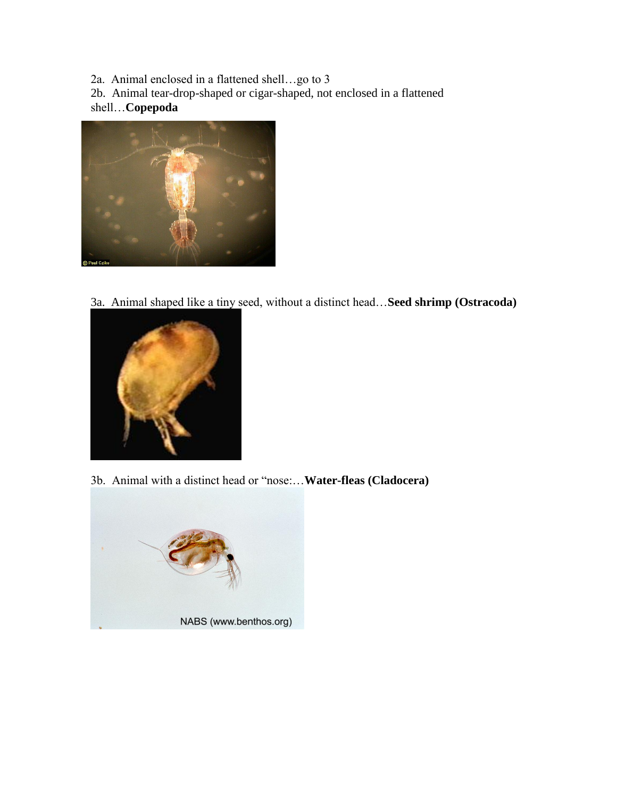2a. Animal enclosed in a flattened shell…go to 3

2b. Animal tear-drop-shaped or cigar-shaped, not enclosed in a flattened shell…**Copepoda**



3a. Animal shaped like a tiny seed, without a distinct head…**Seed shrimp (Ostracoda)**



3b. Animal with a distinct head or "nose:…**Water-fleas (Cladocera)**